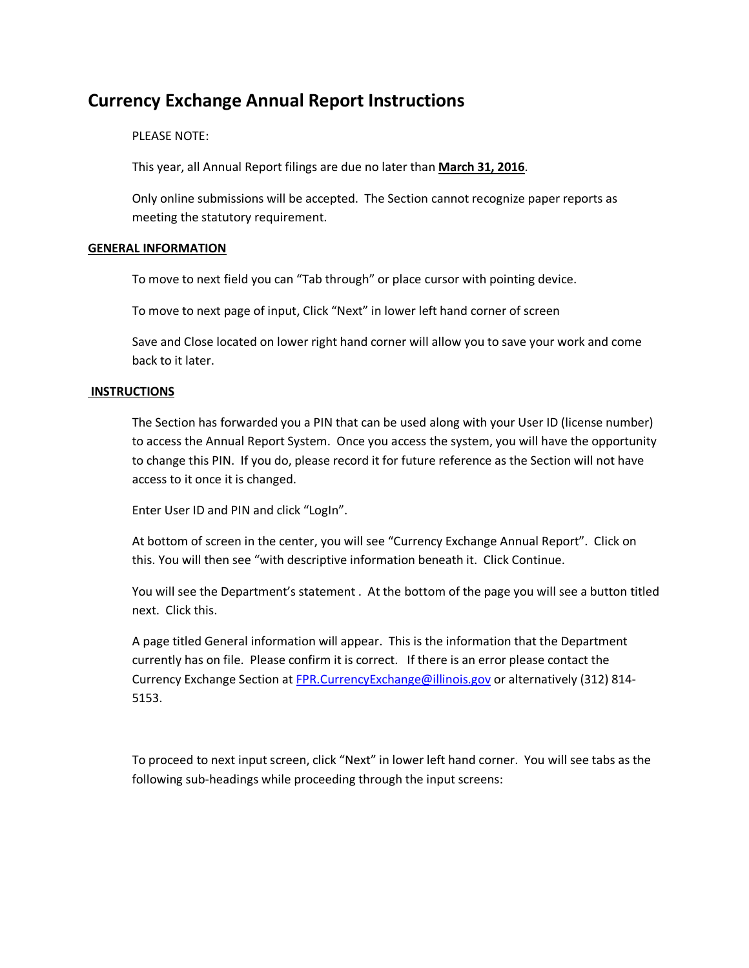# **Currency Exchange Annual Report Instructions**

# PLEASE NOTE:

This year, all Annual Report filings are due no later than **March 31, 2016**.

Only online submissions will be accepted. The Section cannot recognize paper reports as meeting the statutory requirement.

# **GENERAL INFORMATION**

To move to next field you can "Tab through" or place cursor with pointing device.

To move to next page of input, Click "Next" in lower left hand corner of screen

Save and Close located on lower right hand corner will allow you to save your work and come back to it later.

# **INSTRUCTIONS**

The Section has forwarded you a PIN that can be used along with your User ID (license number) to access the Annual Report System. Once you access the system, you will have the opportunity to change this PIN. If you do, please record it for future reference as the Section will not have access to it once it is changed.

Enter User ID and PIN and click "LogIn".

At bottom of screen in the center, you will see "Currency Exchange Annual Report". Click on this. You will then see "with descriptive information beneath it. Click Continue.

You will see the Department's statement . At the bottom of the page you will see a button titled next. Click this.

A page titled General information will appear. This is the information that the Department currently has on file. Please confirm it is correct. If there is an error please contact the Currency Exchange Section at [FPR.CurrencyExchange@illinois.gov](mailto:FPR.CurrencyExchange@illinois.gov) or alternatively (312) 814-5153.

To proceed to next input screen, click "Next" in lower left hand corner. You will see tabs as the following sub-headings while proceeding through the input screens: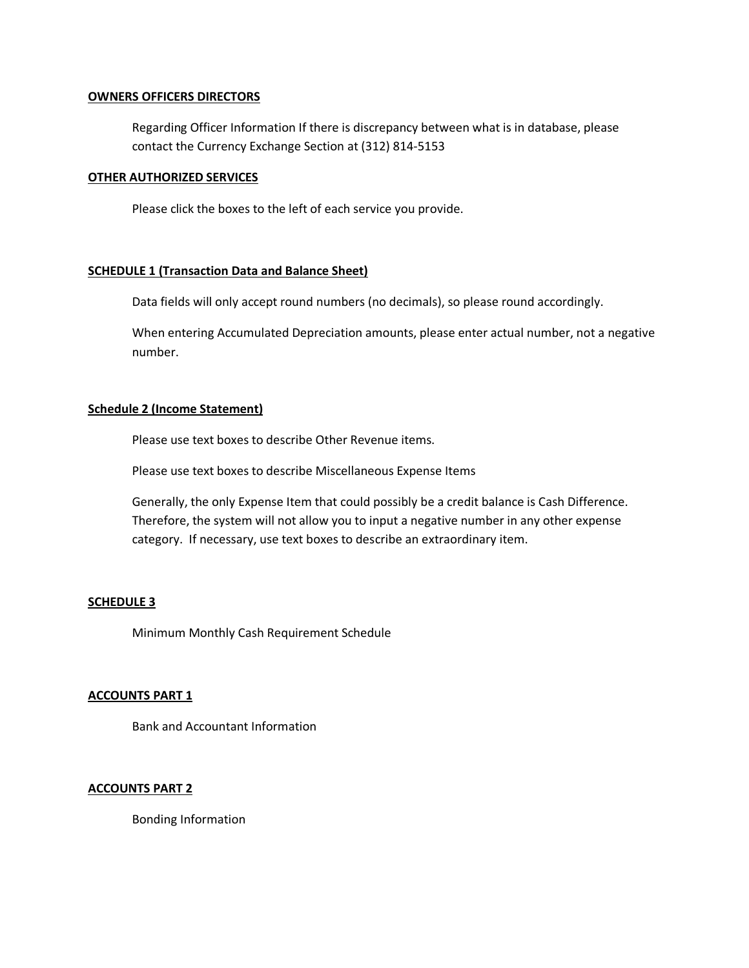#### **OWNERS OFFICERS DIRECTORS**

Regarding Officer Information If there is discrepancy between what is in database, please contact the Currency Exchange Section at (312) 814-5153

#### **OTHER AUTHORIZED SERVICES**

Please click the boxes to the left of each service you provide.

#### **SCHEDULE 1 (Transaction Data and Balance Sheet)**

Data fields will only accept round numbers (no decimals), so please round accordingly.

When entering Accumulated Depreciation amounts, please enter actual number, not a negative number.

#### **Schedule 2 (Income Statement)**

Please use text boxes to describe Other Revenue items.

Please use text boxes to describe Miscellaneous Expense Items

Generally, the only Expense Item that could possibly be a credit balance is Cash Difference. Therefore, the system will not allow you to input a negative number in any other expense category. If necessary, use text boxes to describe an extraordinary item.

# **SCHEDULE 3**

Minimum Monthly Cash Requirement Schedule

# **ACCOUNTS PART 1**

Bank and Accountant Information

#### **ACCOUNTS PART 2**

Bonding Information